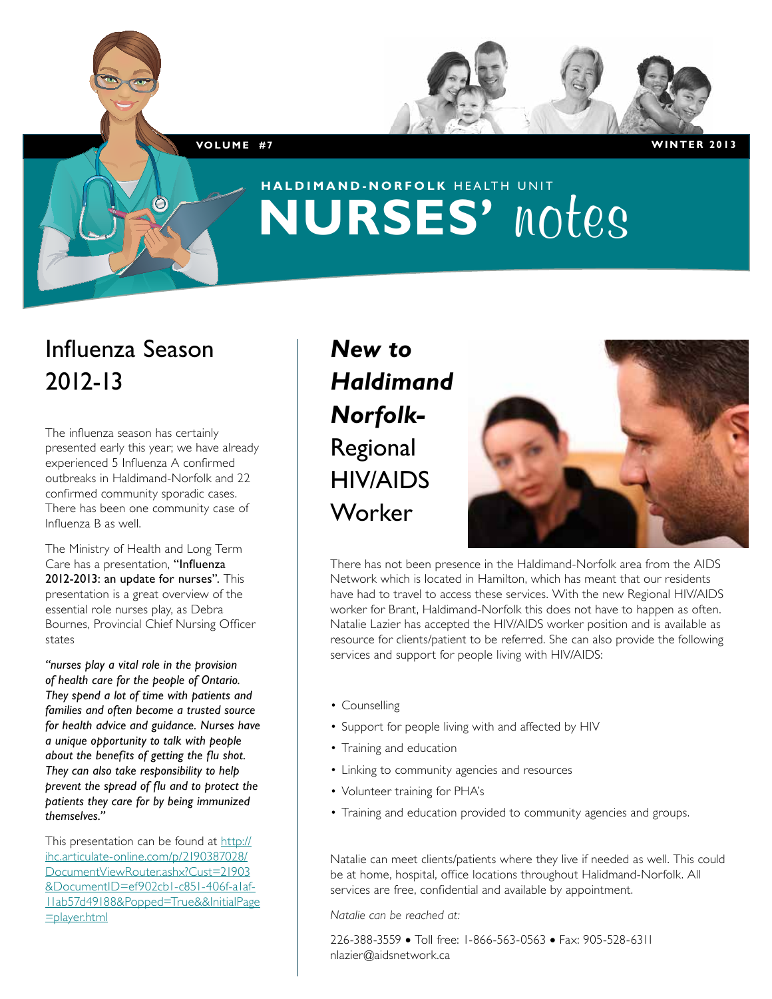# **haldimand-norfolk** HEALTH UNIT **NURSES' notes**

## Influenza Season 2012-13

The influenza season has certainly presented early this year; we have already experienced 5 Influenza A confirmed outbreaks in Haldimand-Norfolk and 22 confirmed community sporadic cases. There has been one community case of Influenza B as well.

The Ministry of Health and Long Term Care has a presentation, "Influenza 2012-2013: an update for nurses". This presentation is a great overview of the essential role nurses play, as Debra Bournes, Provincial Chief Nursing Officer states

*"nurses play a vital role in the provision of health care for the people of Ontario. They spend a lot of time with patients and families and often become a trusted source for health advice and guidance. Nurses have a unique opportunity to talk with people about the benefits of getting the flu shot. They can also take responsibility to help prevent the spread of flu and to protect the patients they care for by being immunized themselves."*

This presentation can be found at http:// ihc.articulate-online.com/p/2190387028/ DocumentViewRouter.ashx?Cust=21903 &DocumentID=ef902cb1-c851-406f-a1af-11ab57d49188&Popped=True&&InitialPage =player.html

### *New to Haldimand Norfolk-*Regional HIV/AIDS Worker



There has not been presence in the Haldimand-Norfolk area from the AIDS Network which is located in Hamilton, which has meant that our residents have had to travel to access these services. With the new Regional HIV/AIDS worker for Brant, Haldimand-Norfolk this does not have to happen as often. Natalie Lazier has accepted the HIV/AIDS worker position and is available as resource for clients/patient to be referred. She can also provide the following services and support for people living with HIV/AIDS:

- Counselling
- Support for people living with and affected by HIV
- Training and education
- Linking to community agencies and resources
- Volunteer training for PHA's
- Training and education provided to community agencies and groups.

Natalie can meet clients/patients where they live if needed as well. This could be at home, hospital, office locations throughout Halidmand-Norfolk. All services are free, confidential and available by appointment.

*Natalie can be reached at:*

226-388-3559 • Toll free: 1-866-563-0563 • Fax: 905-528-6311 nlazier@aidsnetwork.ca